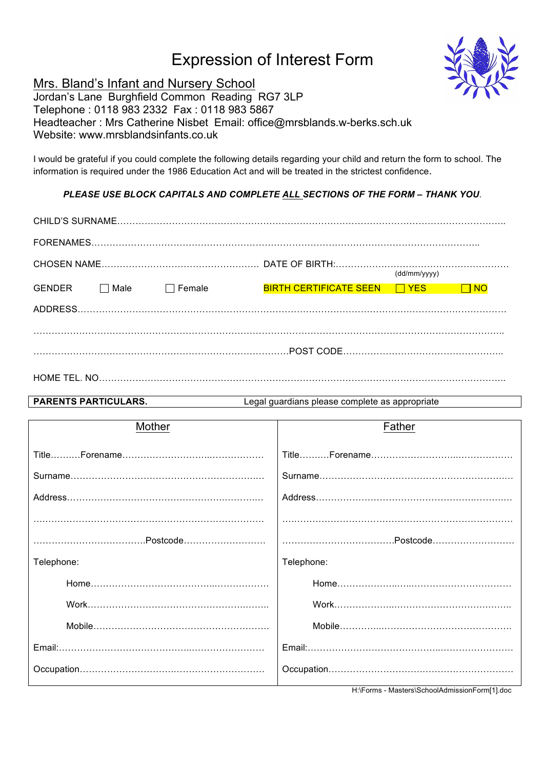# Expression of Interest Form



## Mrs. Bland's Infant and Nursery School

Jordan's Lane Burghfield Common Reading RG7 3LP Telephone : 0118 983 2332 Fax : 0118 983 5867 Headteacher : Mrs Catherine Nisbet Email: office@mrsblands.w-berks.sch.uk Website: www.mrsblandsinfants.co.uk

I would be grateful if you could complete the following details regarding your child and return the form to school. The information is required under the 1986 Education Act and will be treated in the strictest confidence.

### *PLEASE USE BLOCK CAPITALS AND COMPLETE ALL SECTIONS OF THE FORM – THANK YOU.*

| (dd/mm/yyyy)  |             |               |                                      |  |           |  |
|---------------|-------------|---------------|--------------------------------------|--|-----------|--|
| <b>GENDER</b> | $\Box$ Male | $\Box$ Female | <b>BIRTH CERTIFICATE SEEN FILYES</b> |  | $\Box$ NO |  |
|               |             |               |                                      |  |           |  |
|               |             |               |                                      |  |           |  |
|               |             |               |                                      |  |           |  |
|               |             |               |                                      |  |           |  |

**PARENTS PARTICULARS.** Legal guardians please complete as appropriate

| Mother     | Father                                                                                             |
|------------|----------------------------------------------------------------------------------------------------|
|            |                                                                                                    |
|            |                                                                                                    |
|            |                                                                                                    |
|            |                                                                                                    |
|            |                                                                                                    |
| Telephone: | Telephone:                                                                                         |
|            |                                                                                                    |
|            |                                                                                                    |
|            |                                                                                                    |
|            |                                                                                                    |
|            | $\cdots$ . $\cdots$ . $\cdots$ . $\cdots$ . $\cdots$ . $\cdots$ . $\cdots$ . $\cdots$ . $\cdots$ . |

H:\Forms - Masters\SchoolAdmissionForm[1].doc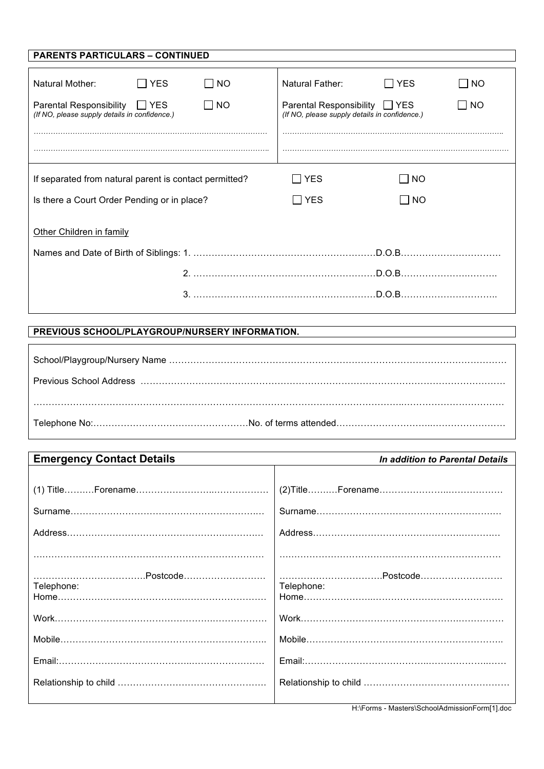| <b>PARENTS PARTICULARS - CONTINUED</b>                                            |                |                                                                                |                           |           |  |
|-----------------------------------------------------------------------------------|----------------|--------------------------------------------------------------------------------|---------------------------|-----------|--|
|                                                                                   |                |                                                                                |                           |           |  |
| ∏ YES<br>Natural Mother:                                                          | $\overline{N}$ | Natural Father:                                                                | l IYES                    | NO        |  |
| Parental Responsibility<br>IIYES<br>(If NO, please supply details in confidence.) | $\Box$ No      | Parental Responsibility □ YES<br>(If NO, please supply details in confidence.) |                           | $\Box$ NO |  |
|                                                                                   |                |                                                                                |                           |           |  |
| If separated from natural parent is contact permitted?                            |                | <b>YES</b>                                                                     | <b>NO</b><br>$\mathbf{I}$ |           |  |
| Is there a Court Order Pending or in place?                                       | $\sqcap$ YES   | l INO                                                                          |                           |           |  |
| Other Children in family                                                          |                |                                                                                |                           |           |  |
|                                                                                   |                |                                                                                |                           |           |  |
|                                                                                   |                |                                                                                |                           |           |  |
|                                                                                   |                |                                                                                |                           |           |  |

# **PREVIOUS SCHOOL/PLAYGROUP/NURSERY INFORMATION.**

 $\mathbf{r}$ 

I

| <b>Emergency Contact Details</b> | In addition to Parental Details |
|----------------------------------|---------------------------------|
|                                  |                                 |
|                                  |                                 |
|                                  |                                 |
|                                  |                                 |
|                                  |                                 |
|                                  |                                 |
| Telephone:                       | Telephone:                      |
|                                  |                                 |
|                                  |                                 |
|                                  |                                 |
|                                  |                                 |
|                                  |                                 |
|                                  |                                 |

H:\Forms - Masters\SchoolAdmissionForm[1].doc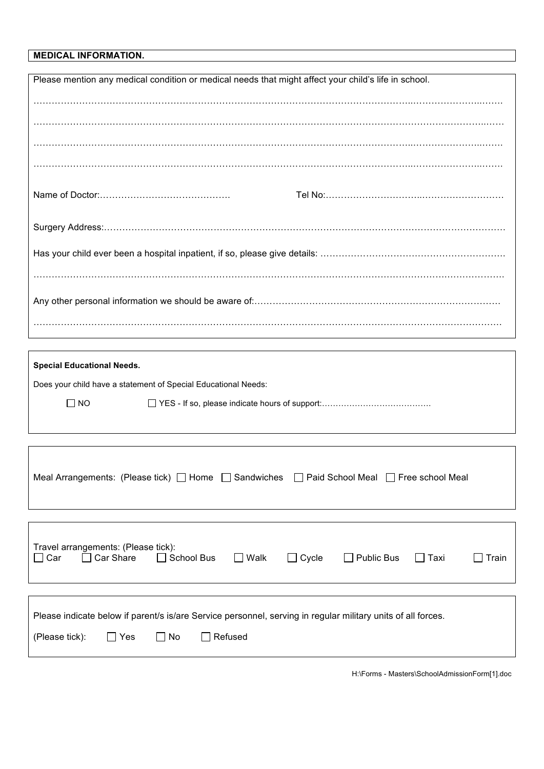#### **MEDICAL INFORMATION.**

| Please mention any medical condition or medical needs that might affect your child's life in school. |  |  |  |  |
|------------------------------------------------------------------------------------------------------|--|--|--|--|
|                                                                                                      |  |  |  |  |
|                                                                                                      |  |  |  |  |
|                                                                                                      |  |  |  |  |
|                                                                                                      |  |  |  |  |
|                                                                                                      |  |  |  |  |
|                                                                                                      |  |  |  |  |
|                                                                                                      |  |  |  |  |
|                                                                                                      |  |  |  |  |
|                                                                                                      |  |  |  |  |
|                                                                                                      |  |  |  |  |
|                                                                                                      |  |  |  |  |
|                                                                                                      |  |  |  |  |
|                                                                                                      |  |  |  |  |
|                                                                                                      |  |  |  |  |

| <b>Special Educational Needs.</b> |                                                                |  |  |  |  |
|-----------------------------------|----------------------------------------------------------------|--|--|--|--|
|                                   | Does your child have a statement of Special Educational Needs: |  |  |  |  |
| $\Box$ No                         |                                                                |  |  |  |  |
|                                   |                                                                |  |  |  |  |

| Meal Arrangements: (Please tick) $\Box$ Home $\Box$ Sandwiches $\Box$ Paid School Meal $\Box$ Free school Meal |  |  |
|----------------------------------------------------------------------------------------------------------------|--|--|
|                                                                                                                |  |  |

| Travel arrangements: (Please tick):<br>$\Box$ Car | $\Box$ Car Share | $\Box$ School Bus | $\Box$ Walk | $\Box$ Cycle | $\Box$ Public Bus                                                                                            | ∣ ∣ Taxi | Train |
|---------------------------------------------------|------------------|-------------------|-------------|--------------|--------------------------------------------------------------------------------------------------------------|----------|-------|
|                                                   |                  |                   |             |              | Please indicate below if parent/s is/are Service personnel, serving in regular military units of all forces. |          |       |
| (Please tick):                                    | $\Box$ Yes       | l I No            | Refused     |              |                                                                                                              |          |       |

H:\Forms - Masters\SchoolAdmissionForm[1].doc